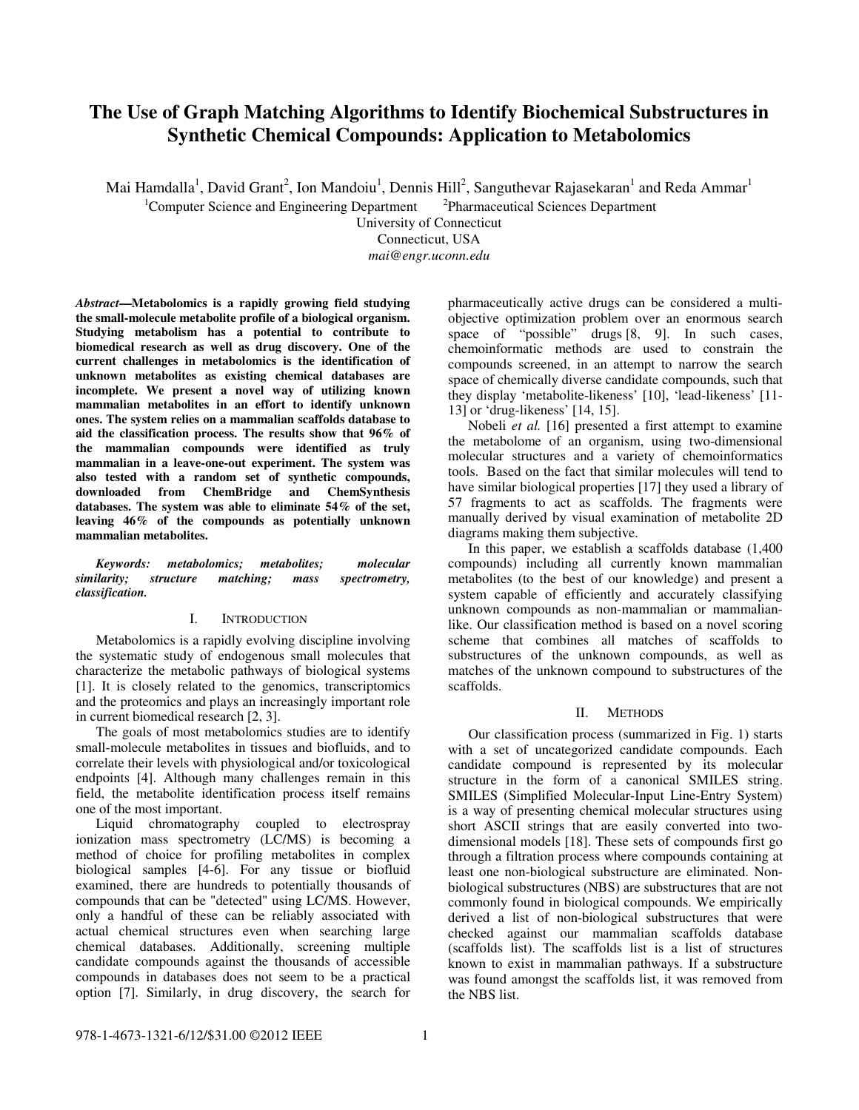# **The Use of Graph Matching Algorithms to Identify Biochemical Substructures in Synthetic Chemical Compounds: Application to Metabolomics**

Mai Hamdalla<sup>1</sup>, David Grant<sup>2</sup>, Ion Mandoiu<sup>1</sup>, Dennis Hill<sup>2</sup>, Sanguthevar Rajasekaran<sup>1</sup> and Reda Ammar<sup>1</sup>

 ${}^{1}$ Computer Science and Engineering Department Pharmaceutical Sciences Department

University of Connecticut

Connecticut, USA

*mai@engr.uconn.edu* 

*Abstract***—Metabolomics is a rapidly growing field studying the small-molecule metabolite profile of a biological organism. Studying metabolism has a potential to contribute to biomedical research as well as drug discovery. One of the current challenges in metabolomics is the identification of unknown metabolites as existing chemical databases are incomplete. We present a novel way of utilizing known mammalian metabolites in an effort to identify unknown ones. The system relies on a mammalian scaffolds database to aid the classification process. The results show that 96% of the mammalian compounds were identified as truly mammalian in a leave-one-out experiment. The system was also tested with a random set of synthetic compounds, downloaded from ChemBridge and ChemSynthesis databases. The system was able to eliminate 54% of the set, leaving 46% of the compounds as potentially unknown mammalian metabolites.** 

*Keywords: metabolomics; metabolites; molecular*   $mass$  spectrometry, *classification.* 

# I. INTRODUCTION

Metabolomics is a rapidly evolving discipline involving the systematic study of endogenous small molecules that characterize the metabolic pathways of biological systems [1]. It is closely related to the genomics, transcriptomics and the proteomics and plays an increasingly important role in current biomedical research [2, 3].

The goals of most metabolomics studies are to identify small-molecule metabolites in tissues and biofluids, and to correlate their levels with physiological and/or toxicological endpoints [4]. Although many challenges remain in this field, the metabolite identification process itself remains one of the most important.

Liquid chromatography coupled to electrospray ionization mass spectrometry (LC/MS) is becoming a method of choice for profiling metabolites in complex biological samples [4-6]. For any tissue or biofluid examined, there are hundreds to potentially thousands of compounds that can be "detected" using LC/MS. However, only a handful of these can be reliably associated with actual chemical structures even when searching large chemical databases. Additionally, screening multiple candidate compounds against the thousands of accessible compounds in databases does not seem to be a practical option [7]. Similarly, in drug discovery, the search for

pharmaceutically active drugs can be considered a multiobjective optimization problem over an enormous search space of "possible" drugs [8, 9]. In such cases, chemoinformatic methods are used to constrain the compounds screened, in an attempt to narrow the search space of chemically diverse candidate compounds, such that they display 'metabolite-likeness' [10], 'lead-likeness' [11- 13] or 'drug-likeness' [14, 15].

Nobeli *et al.* [16] presented a first attempt to examine the metabolome of an organism, using two-dimensional molecular structures and a variety of chemoinformatics tools. Based on the fact that similar molecules will tend to have similar biological properties [17] they used a library of 57 fragments to act as scaffolds. The fragments were manually derived by visual examination of metabolite 2D diagrams making them subjective.

In this paper, we establish a scaffolds database (1,400 compounds) including all currently known mammalian metabolites (to the best of our knowledge) and present a system capable of efficiently and accurately classifying unknown compounds as non-mammalian or mammalianlike. Our classification method is based on a novel scoring scheme that combines all matches of scaffolds to substructures of the unknown compounds, as well as matches of the unknown compound to substructures of the scaffolds.

# II. METHODS

Our classification process (summarized in Fig. 1) starts with a set of uncategorized candidate compounds. Each candidate compound is represented by its molecular structure in the form of a canonical SMILES string. SMILES (Simplified Molecular-Input Line-Entry System) is a way of presenting chemical molecular structures using short ASCII strings that are easily converted into twodimensional models [18]. These sets of compounds first go through a filtration process where compounds containing at least one non-biological substructure are eliminated. Nonbiological substructures (NBS) are substructures that are not commonly found in biological compounds. We empirically derived a list of non-biological substructures that were checked against our mammalian scaffolds database (scaffolds list). The scaffolds list is a list of structures known to exist in mammalian pathways. If a substructure was found amongst the scaffolds list, it was removed from the NBS list.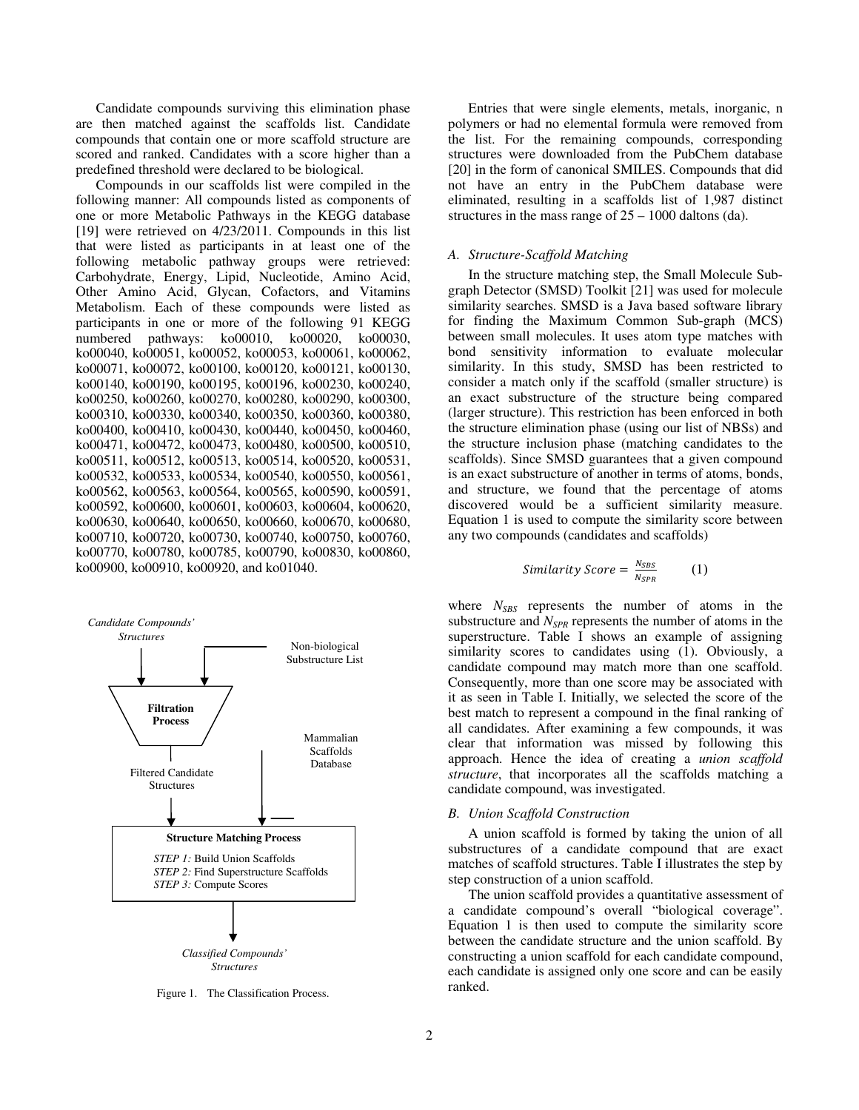Candidate compounds surviving this elimination phase are then matched against the scaffolds list. Candidate compounds that contain one or more scaffold structure are scored and ranked. Candidates with a score higher than a predefined threshold were declared to be biological.

Compounds in our scaffolds list were compiled in the following manner: All compounds listed as components of one or more Metabolic Pathways in the KEGG database [19] were retrieved on 4/23/2011. Compounds in this list that were listed as participants in at least one of the following metabolic pathway groups were retrieved: Carbohydrate, Energy, Lipid, Nucleotide, Amino Acid, Other Amino Acid, Glycan, Cofactors, and Vitamins Metabolism. Each of these compounds were listed as participants in one or more of the following 91 KEGG numbered pathways: ko00010, ko00020, ko00030, ko00040, ko00051, ko00052, ko00053, ko00061, ko00062, ko00071, ko00072, ko00100, ko00120, ko00121, ko00130, ko00140, ko00190, ko00195, ko00196, ko00230, ko00240, ko00250, ko00260, ko00270, ko00280, ko00290, ko00300, ko00310, ko00330, ko00340, ko00350, ko00360, ko00380, ko00400, ko00410, ko00430, ko00440, ko00450, ko00460, ko00471, ko00472, ko00473, ko00480, ko00500, ko00510, ko00511, ko00512, ko00513, ko00514, ko00520, ko00531, ko00532, ko00533, ko00534, ko00540, ko00550, ko00561, ko00562, ko00563, ko00564, ko00565, ko00590, ko00591, ko00592, ko00600, ko00601, ko00603, ko00604, ko00620, ko00630, ko00640, ko00650, ko00660, ko00670, ko00680, ko00710, ko00720, ko00730, ko00740, ko00750, ko00760, ko00770, ko00780, ko00785, ko00790, ko00830, ko00860, ko00900, ko00910, ko00920, and ko01040.



Figure 1. The Classification Process.

Entries that were single elements, metals, inorganic, n polymers or had no elemental formula were removed from the list. For the remaining compounds, corresponding structures were downloaded from the PubChem database [20] in the form of canonical SMILES. Compounds that did not have an entry in the PubChem database were eliminated, resulting in a scaffolds list of 1,987 distinct structures in the mass range of  $25 - 1000$  daltons (da).

## *A. Structure-Scaffold Matching*

In the structure matching step, the Small Molecule Subgraph Detector (SMSD) Toolkit [21] was used for molecule similarity searches. SMSD is a Java based software library for finding the Maximum Common Sub-graph (MCS) between small molecules. It uses atom type matches with bond sensitivity information to evaluate molecular similarity. In this study, SMSD has been restricted to consider a match only if the scaffold (smaller structure) is an exact substructure of the structure being compared (larger structure). This restriction has been enforced in both the structure elimination phase (using our list of NBSs) and the structure inclusion phase (matching candidates to the scaffolds). Since SMSD guarantees that a given compound is an exact substructure of another in terms of atoms, bonds, and structure, we found that the percentage of atoms discovered would be a sufficient similarity measure. Equation 1 is used to compute the similarity score between any two compounds (candidates and scaffolds)

Similarly Score = 
$$
\frac{N_{SBS}}{N_{SPR}}
$$
 (1)

where  $N_{SBS}$  represents the number of atoms in the substructure and *NSPR* represents the number of atoms in the superstructure. Table I shows an example of assigning similarity scores to candidates using (1). Obviously, a candidate compound may match more than one scaffold. Consequently, more than one score may be associated with it as seen in Table I. Initially, we selected the score of the best match to represent a compound in the final ranking of all candidates. After examining a few compounds, it was clear that information was missed by following this approach. Hence the idea of creating a *union scaffold structure*, that incorporates all the scaffolds matching a candidate compound, was investigated.

#### *B. Union Scaffold Construction*

A union scaffold is formed by taking the union of all substructures of a candidate compound that are exact matches of scaffold structures. Table I illustrates the step by step construction of a union scaffold.

The union scaffold provides a quantitative assessment of a candidate compound's overall "biological coverage". Equation 1 is then used to compute the similarity score between the candidate structure and the union scaffold. By constructing a union scaffold for each candidate compound, each candidate is assigned only one score and can be easily ranked.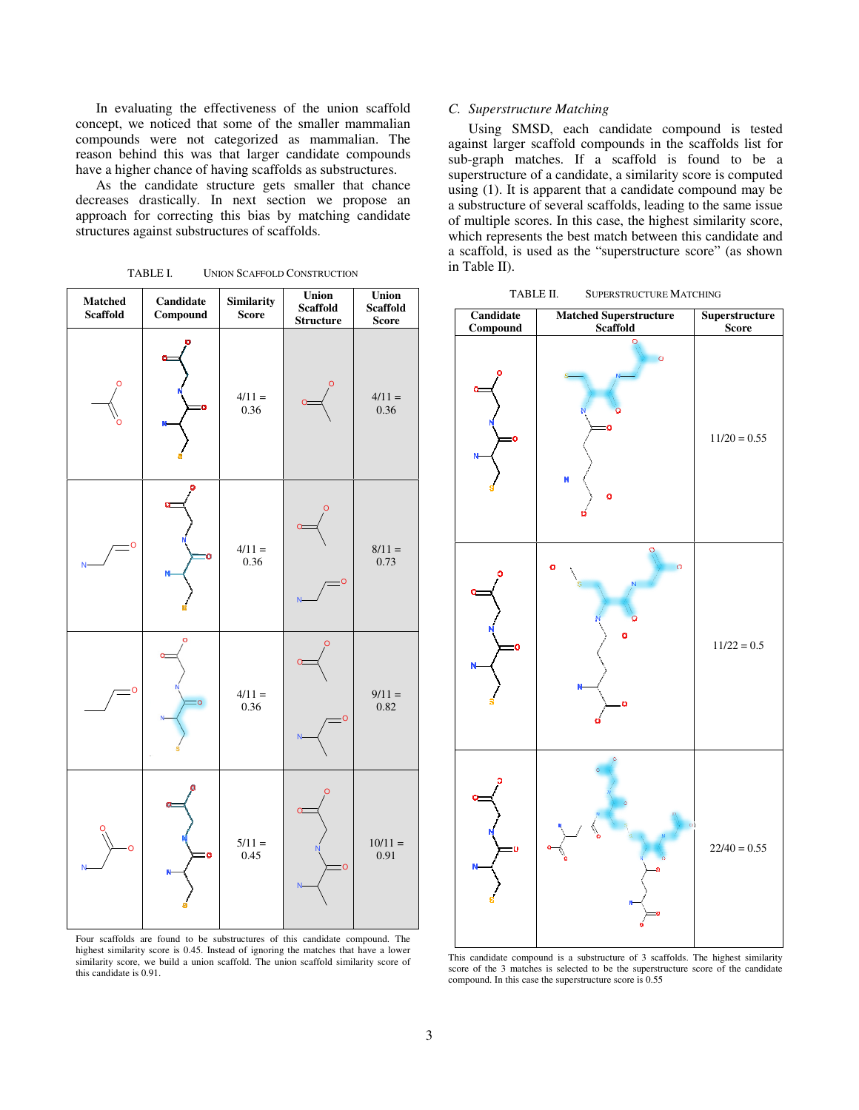In evaluating the effectiveness of the union scaffold In evaluating the effectiveness of the union scaffold concept, we noticed that some of the smaller mammalian compounds were not categorized as mammalian. The reason behind this was that larger candidate compounds have a higher chance of having scaffolds as substructures. reason behind this was that larger candidate compounds<br>have a higher chance of having scaffolds as substructures.<br>As the candidate structure gets smaller that chance<br>decreases drastically. In next section we propose an

As the candidate structure gets smaller that chance approach for correcting this bias by matching candidate structures against substructures of scaffolds.

TABLE I. UNION SCAFFOLD CONSTRUCTION



Four scaffolds are found to be substructures of this candidate compound. The Four scaffolds are found to be substructures of this candidate compound. The highest similarity score is 0.45. Instead of ignoring the matches that have a lower similarity score, we build a union scaffold. The union scaffold similarity score of this candidate is 0.91.

# *C. Superstructure Matching*

Using SMSD, each candidate compound is tested against larger scaffold compounds in the scaffolds list for sub-graph matches. If a scaffold is found to be a superstructure of a candidate, a similarity score is computed using (1). It is apparent that a candidate compound may be a substructure of several scaffolds, of multiple scores. In this case, the highest similarity score, which represents the best match between this candidate and of multiple scores. In this case, the highest similarity score, which represents the best match between this candidate and a scaffold, is used as the "superstructure score" (as shown in Table II). nst larger scaffold compounds in the scaffolds list for graph matches. If a scaffold is found to be a restructure of a candidate, a similarity score is computed g (1). It is apparent that a candidate compound may be bstruc

TABLE II. SUPERSTRUCTURE MATCHING



This candidate compound is a substructure of 3 scaffolds. The highest similarity This candidate compound is a substructure of 3 scaffolds. The highest similarity score of the 3 matches is selected to be the superstructure score of the candidate compound. In this case the superstructure score is 0.55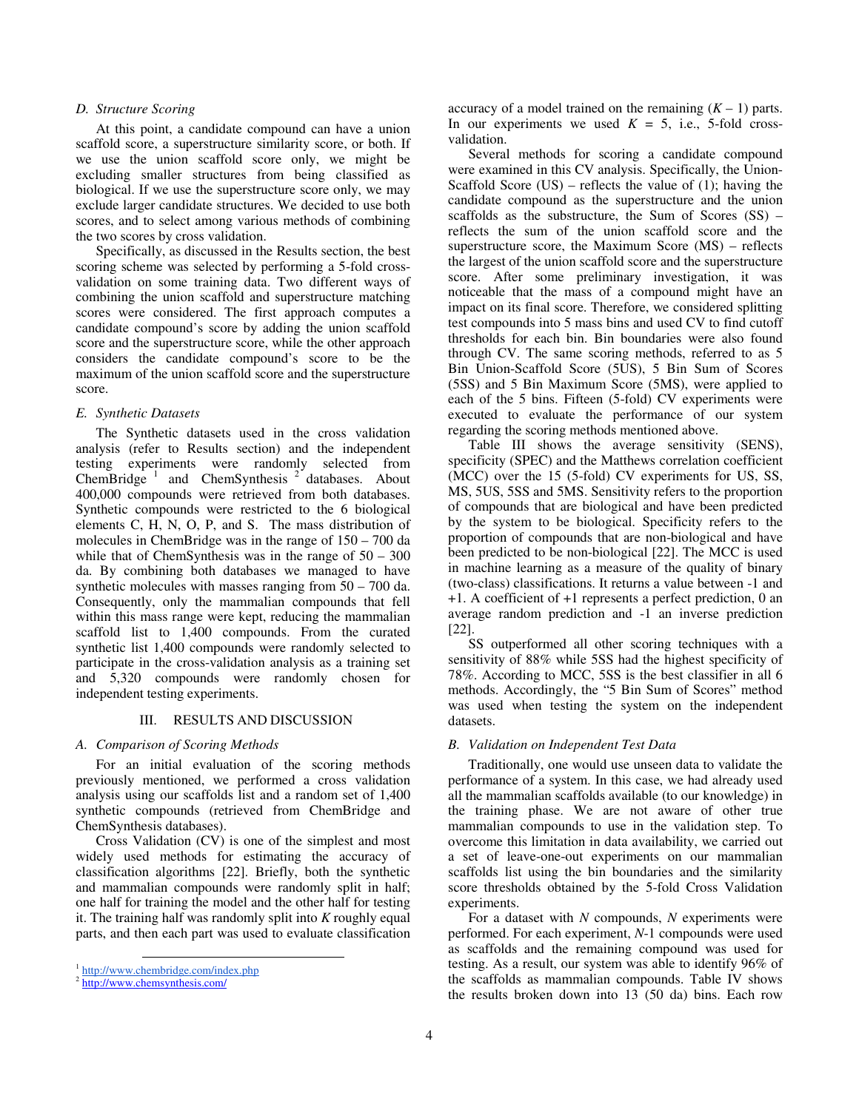## *D. Structure Scoring*

At this point, a candidate compound can have a union scaffold score, a superstructure similarity score, or both. If we use the union scaffold score only, we might be excluding smaller structures from being classified as biological. If we use the superstructure score only, we may exclude larger candidate structures. We decided to use both scores, and to select among various methods of combining the two scores by cross validation.

Specifically, as discussed in the Results section, the best scoring scheme was selected by performing a 5-fold crossvalidation on some training data. Two different ways of combining the union scaffold and superstructure matching scores were considered. The first approach computes a candidate compound's score by adding the union scaffold score and the superstructure score, while the other approach considers the candidate compound's score to be the maximum of the union scaffold score and the superstructure score.

#### *E. Synthetic Datasets*

The Synthetic datasets used in the cross validation analysis (refer to Results section) and the independent testing experiments were randomly selected from ChemBridge<sup>1</sup> and ChemSynthesis<sup>2</sup> databases. About 400,000 compounds were retrieved from both databases. Synthetic compounds were restricted to the 6 biological elements C, H, N, O, P, and S. The mass distribution of molecules in ChemBridge was in the range of 150 – 700 da while that of ChemSynthesis was in the range of  $50 - 300$ da. By combining both databases we managed to have synthetic molecules with masses ranging from 50 – 700 da. Consequently, only the mammalian compounds that fell within this mass range were kept, reducing the mammalian scaffold list to 1,400 compounds. From the curated synthetic list 1,400 compounds were randomly selected to participate in the cross-validation analysis as a training set and 5,320 compounds were randomly chosen for independent testing experiments.

#### III. RESULTS AND DISCUSSION

## *A. Comparison of Scoring Methods*

For an initial evaluation of the scoring methods previously mentioned, we performed a cross validation analysis using our scaffolds list and a random set of 1,400 synthetic compounds (retrieved from ChemBridge and ChemSynthesis databases).

Cross Validation (CV) is one of the simplest and most widely used methods for estimating the accuracy of classification algorithms [22]. Briefly, both the synthetic and mammalian compounds were randomly split in half; one half for training the model and the other half for testing it. The training half was randomly split into *K* roughly equal parts, and then each part was used to evaluate classification

 $\overline{a}$ 

accuracy of a model trained on the remaining  $(K - 1)$  parts. In our experiments we used  $K = 5$ , i.e., 5-fold crossvalidation.

Several methods for scoring a candidate compound were examined in this CV analysis. Specifically, the Union-Scaffold Score  $(US)$  – reflects the value of (1); having the candidate compound as the superstructure and the union scaffolds as the substructure, the Sum of Scores  $(SS)$  – reflects the sum of the union scaffold score and the superstructure score, the Maximum Score (MS) – reflects the largest of the union scaffold score and the superstructure score. After some preliminary investigation, it was noticeable that the mass of a compound might have an impact on its final score. Therefore, we considered splitting test compounds into 5 mass bins and used CV to find cutoff thresholds for each bin. Bin boundaries were also found through CV. The same scoring methods, referred to as 5 Bin Union-Scaffold Score (5US), 5 Bin Sum of Scores (5SS) and 5 Bin Maximum Score (5MS), were applied to each of the 5 bins. Fifteen (5-fold) CV experiments were executed to evaluate the performance of our system regarding the scoring methods mentioned above.

Table III shows the average sensitivity (SENS), specificity (SPEC) and the Matthews correlation coefficient (MCC) over the 15 (5-fold) CV experiments for US, SS, MS, 5US, 5SS and 5MS. Sensitivity refers to the proportion of compounds that are biological and have been predicted by the system to be biological. Specificity refers to the proportion of compounds that are non-biological and have been predicted to be non-biological [22]. The MCC is used in machine learning as a measure of the quality of binary (two-class) classifications. It returns a value between -1 and +1. A coefficient of +1 represents a perfect prediction, 0 an average random prediction and -1 an inverse prediction [22].

SS outperformed all other scoring techniques with a sensitivity of 88% while 5SS had the highest specificity of 78%. According to MCC, 5SS is the best classifier in all 6 methods. Accordingly, the "5 Bin Sum of Scores" method was used when testing the system on the independent datasets.

#### *B. Validation on Independent Test Data*

Traditionally, one would use unseen data to validate the performance of a system. In this case, we had already used all the mammalian scaffolds available (to our knowledge) in the training phase. We are not aware of other true mammalian compounds to use in the validation step. To overcome this limitation in data availability, we carried out a set of leave-one-out experiments on our mammalian scaffolds list using the bin boundaries and the similarity score thresholds obtained by the 5-fold Cross Validation experiments.

For a dataset with *N* compounds, *N* experiments were performed. For each experiment, *N*-1 compounds were used as scaffolds and the remaining compound was used for testing. As a result, our system was able to identify 96% of the scaffolds as mammalian compounds. Table IV shows the results broken down into 13 (50 da) bins. Each row

<sup>1</sup> http://www.chembridge.com/index.php

<sup>&</sup>lt;sup>2</sup> http://www.chemsynthesis.com/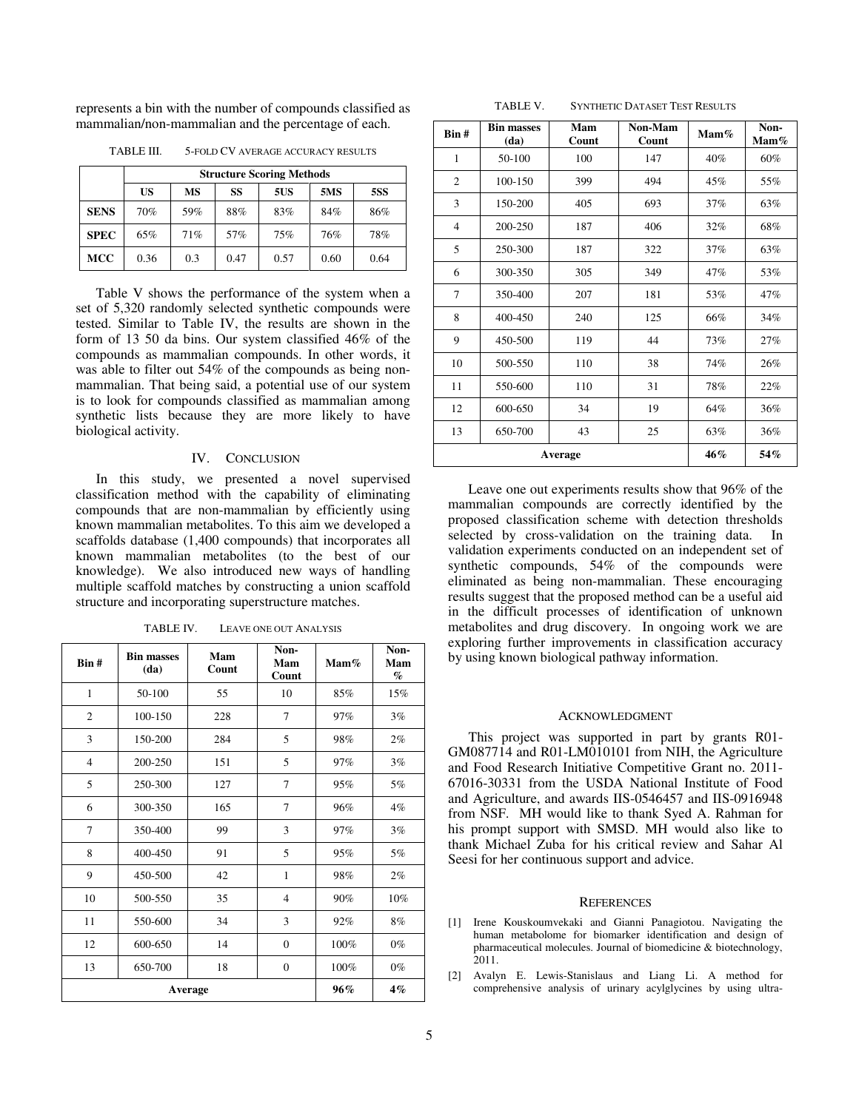represents a bin with the number of compounds classified as mammalian/non-mammalian and the percentage of each.

| TABLE III. | 5-FOLD CV AVERAGE ACCURACY RESULTS |
|------------|------------------------------------|
|            |                                    |

|             | <b>Structure Scoring Methods</b> |     |      |      |            |      |
|-------------|----------------------------------|-----|------|------|------------|------|
|             | US                               | MS  | SS   | 5US  | <b>5MS</b> | 5SS  |
| <b>SENS</b> | 70%                              | 59% | 88%  | 83%  | 84%        | 86%  |
| <b>SPEC</b> | 65%                              | 71% | 57%  | 75%  | 76%        | 78%  |
| <b>MCC</b>  | 0.36                             | 0.3 | 0.47 | 0.57 | 0.60       | 0.64 |

Table V shows the performance of the system when a set of 5,320 randomly selected synthetic compounds were tested. Similar to Table IV, the results are shown in the form of 13 50 da bins. Our system classified 46% of the compounds as mammalian compounds. In other words, it was able to filter out 54% of the compounds as being nonmammalian. That being said, a potential use of our system is to look for compounds classified as mammalian among synthetic lists because they are more likely to have biological activity.

## IV. CONCLUSION

In this study, we presented a novel supervised classification method with the capability of eliminating compounds that are non-mammalian by efficiently using known mammalian metabolites. To this aim we developed a scaffolds database (1,400 compounds) that incorporates all known mammalian metabolites (to the best of our knowledge). We also introduced new ways of handling multiple scaffold matches by constructing a union scaffold structure and incorporating superstructure matches.

| Bin#           | <b>Bin masses</b><br>(da) | Mam<br>Count | Non-<br>Mam<br>Count | $\mathbf{Mam}\%$ | Non-<br>Mam<br>$\%$ |
|----------------|---------------------------|--------------|----------------------|------------------|---------------------|
| $\mathbf{1}$   | 50-100                    | 55           | 10                   | 85%              | 15%                 |
| $\overline{c}$ | 100-150                   | 228          | $\overline{7}$       | 97%              | 3%                  |
| 3              | 150-200                   | 284          | 5                    | 98%              | 2%                  |
| $\overline{4}$ | 200-250                   | 151          | 5                    | 97%              | 3%                  |
| 5              | 250-300                   | 127          | $\overline{7}$       | 95%              | 5%                  |
| 6              | 300-350                   | 165          | $\overline{7}$       | 96%              | 4%                  |
| 7              | 350-400                   | 99           | 3                    | 97%              | 3%                  |
| 8              | 400-450                   | 91           | 5                    | 95%              | 5%                  |
| 9              | 450-500                   | 42           | $\mathbf{1}$         | 98%              | 2%                  |
| 10             | 500-550                   | 35           | $\overline{4}$       | 90%              | 10%                 |
| 11             | 550-600                   | 34           | 3                    | 92%              | 8%                  |
| 12             | 600-650                   | 14           | $\mathbf{0}$         | 100%             | $0\%$               |
| 13             | 650-700                   | 18           | $\mathbf{0}$         | 100%             | $0\%$               |
| Average        |                           |              |                      | 96%              | $4\%$               |

TABLE IV. LEAVE ONE OUT ANALYSIS

TABLE V. SYNTHETIC DATASET TEST RESULTS

| Bin#           | <b>Bin masses</b><br>(da) | Mam<br>Count | Non-Mam<br>Count | $\mathbf{Mam}\%$ | Non-<br>$\mathbf{Mam}\%$ |
|----------------|---------------------------|--------------|------------------|------------------|--------------------------|
| 1              | 50-100                    | 100          | 147              | 40%              | 60%                      |
| $\overline{c}$ | 100-150                   | 399          | 494              | 45%              | 55%                      |
| 3              | 150-200                   | 405          | 693              | 37%              | 63%                      |
| $\overline{4}$ | 200-250                   | 187          | 406              | 32%              | 68%                      |
| 5              | 250-300                   | 187          | 322              | 37%              | 63%                      |
| 6              | 300-350                   | 305          | 349              | 47%              | 53%                      |
| $\tau$         | 350-400                   | 207          | 181              | 53%              | 47%                      |
| 8              | 400-450                   | 240          | 125              | 66%              | 34%                      |
| 9              | 450-500                   | 119          | 44               | 73%              | 27%                      |
| 10             | 500-550                   | 110          | 38               | 74%              | 26%                      |
| 11             | 550-600                   | 110          | 31               | 78%              | 22%                      |
| 12             | 600-650                   | 34           | 19               | 64%              | 36%                      |
| 13             | 650-700                   | 43           | 25               | 63%              | 36%                      |
| Average        |                           |              |                  | 46%              | 54%                      |

Leave one out experiments results show that 96% of the mammalian compounds are correctly identified by the proposed classification scheme with detection thresholds selected by cross-validation on the training data. In validation experiments conducted on an independent set of synthetic compounds, 54% of the compounds were eliminated as being non-mammalian. These encouraging results suggest that the proposed method can be a useful aid in the difficult processes of identification of unknown metabolites and drug discovery. In ongoing work we are exploring further improvements in classification accuracy by using known biological pathway information.

#### ACKNOWLEDGMENT

This project was supported in part by grants R01- GM087714 and R01-LM010101 from NIH, the Agriculture and Food Research Initiative Competitive Grant no. 2011- 67016-30331 from the USDA National Institute of Food and Agriculture, and awards IIS-0546457 and IIS-0916948 from NSF. MH would like to thank Syed A. Rahman for his prompt support with SMSD. MH would also like to thank Michael Zuba for his critical review and Sahar Al Seesi for her continuous support and advice.

## **REFERENCES**

- [1] Irene Kouskoumvekaki and Gianni Panagiotou. Navigating the human metabolome for biomarker identification and design of pharmaceutical molecules. Journal of biomedicine & biotechnology, 2011.
- [2] Avalyn E. Lewis-Stanislaus and Liang Li. A method for comprehensive analysis of urinary acylglycines by using ultra-